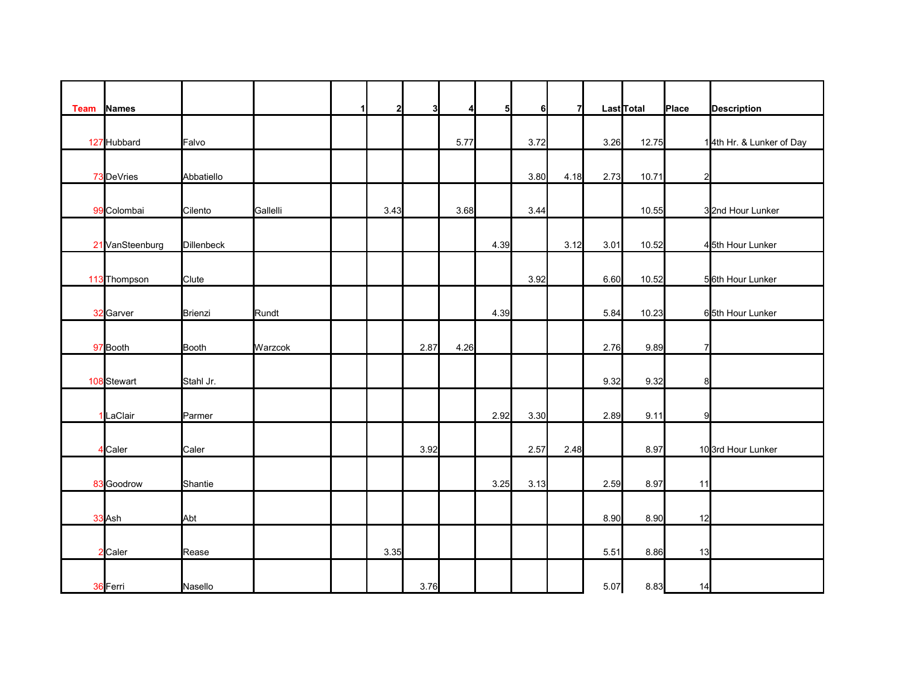| <b>Team</b> | <b>Names</b>    |              |          | $\mathbf{1}$ | $\mathbf{2}$ | 3    | Δ    | 51   | 6I   | 71   |      | LastTotal | Place          | <b>Description</b>       |
|-------------|-----------------|--------------|----------|--------------|--------------|------|------|------|------|------|------|-----------|----------------|--------------------------|
|             |                 |              |          |              |              |      |      |      |      |      |      |           |                |                          |
|             | 127 Hubbard     | Falvo        |          |              |              |      | 5.77 |      | 3.72 |      | 3.26 | 12.75     |                | 14th Hr. & Lunker of Day |
|             | 73 DeVries      | Abbatiello   |          |              |              |      |      |      | 3.80 | 4.18 | 2.73 | 10.71     | $\overline{a}$ |                          |
|             |                 |              |          |              |              |      |      |      |      |      |      |           |                |                          |
|             | 99 Colombai     | Cilento      | Gallelli |              | 3.43         |      | 3.68 |      | 3.44 |      |      | 10.55     |                | 32nd Hour Lunker         |
|             | 21 VanSteenburg | Dillenbeck   |          |              |              |      |      | 4.39 |      | 3.12 | 3.01 | 10.52     |                | 45th Hour Lunker         |
|             |                 |              |          |              |              |      |      |      |      |      |      |           |                |                          |
|             | 113 Thompson    | Clute        |          |              |              |      |      |      | 3.92 |      | 6.60 | 10.52     |                | 56th Hour Lunker         |
|             | 32 Garver       | Brienzi      | Rundt    |              |              |      |      | 4.39 |      |      | 5.84 | 10.23     |                | 65th Hour Lunker         |
|             |                 |              |          |              |              |      |      |      |      |      |      |           |                |                          |
|             | 97 Booth        | <b>Booth</b> | Warzcok  |              |              | 2.87 | 4.26 |      |      |      | 2.76 | 9.89      | $\overline{7}$ |                          |
|             |                 |              |          |              |              |      |      |      |      |      |      |           |                |                          |
|             | 108 Stewart     | Stahl Jr.    |          |              |              |      |      |      |      |      | 9.32 | 9.32      | 8              |                          |
|             | LaClair         | Parmer       |          |              |              |      |      | 2.92 | 3.30 |      | 2.89 | 9.11      | 9              |                          |
|             |                 |              |          |              |              |      |      |      |      |      |      |           |                |                          |
|             | <b>I</b> Caler  | Caler        |          |              |              | 3.92 |      |      | 2.57 | 2.48 |      | 8.97      |                | 10 3rd Hour Lunker       |
|             |                 |              |          |              |              |      |      |      |      |      |      |           |                |                          |
|             | 83 Goodrow      | Shantie      |          |              |              |      |      | 3.25 | 3.13 |      | 2.59 | 8.97      | 11             |                          |
|             | 33 Ash          | Abt          |          |              |              |      |      |      |      |      | 8.90 | 8.90      | 12             |                          |
|             |                 |              |          |              |              |      |      |      |      |      |      |           |                |                          |
|             | 2 Caler         | Rease        |          |              | 3.35         |      |      |      |      |      | 5.51 | 8.86      | 13             |                          |
|             | 36 Ferri        | Nasello      |          |              |              | 3.76 |      |      |      |      | 5.07 | 8.83      | 14             |                          |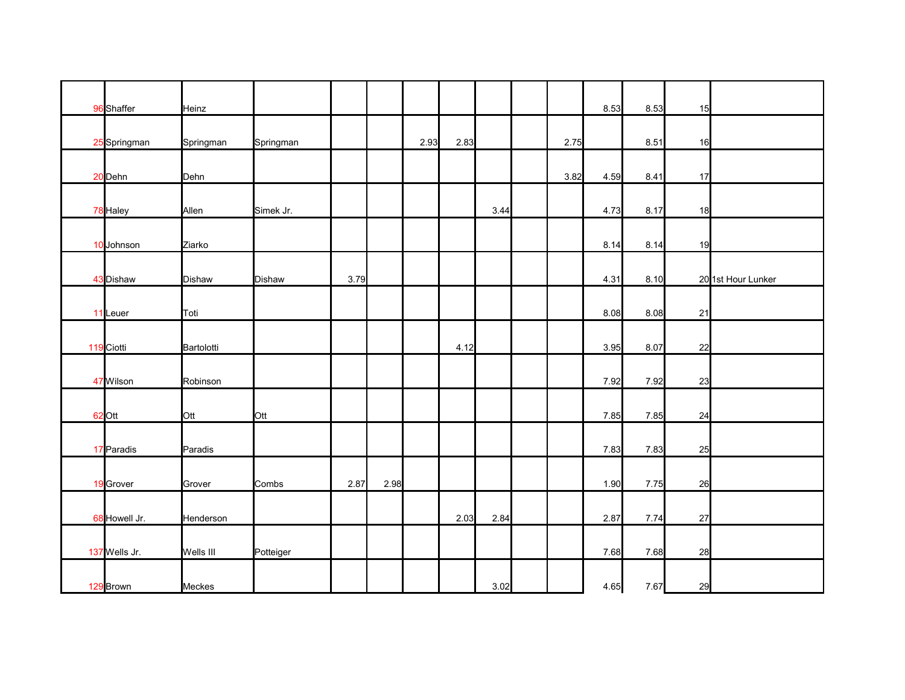| 96 Shaffer    | Heinz         |           |      |      |      |      |      |      | 8.53 | 8.53 | 15 |                    |
|---------------|---------------|-----------|------|------|------|------|------|------|------|------|----|--------------------|
|               |               |           |      |      |      |      |      |      |      |      |    |                    |
| 25 Springman  | Springman     | Springman |      |      | 2.93 | 2.83 |      | 2.75 |      | 8.51 | 16 |                    |
|               |               |           |      |      |      |      |      |      |      |      |    |                    |
| 20 Dehn       | Dehn          |           |      |      |      |      |      | 3.82 | 4.59 | 8.41 | 17 |                    |
| 78 Haley      | Allen         | Simek Jr. |      |      |      |      | 3.44 |      | 4.73 | 8.17 | 18 |                    |
|               |               |           |      |      |      |      |      |      |      |      |    |                    |
| 10 Johnson    | Ziarko        |           |      |      |      |      |      |      | 8.14 | 8.14 | 19 |                    |
|               |               |           |      |      |      |      |      |      |      |      |    |                    |
| 43 Dishaw     | <b>Dishaw</b> | Dishaw    | 3.79 |      |      |      |      |      | 4.31 | 8.10 |    | 20 1st Hour Lunker |
|               |               |           |      |      |      |      |      |      |      |      |    |                    |
| 11 Leuer      | Toti          |           |      |      |      |      |      |      | 8.08 | 8.08 | 21 |                    |
|               |               |           |      |      |      |      |      |      |      |      |    |                    |
| 119 Ciotti    | Bartolotti    |           |      |      |      | 4.12 |      |      | 3.95 | 8.07 | 22 |                    |
|               |               |           |      |      |      |      |      |      |      |      |    |                    |
| 47 Wilson     | Robinson      |           |      |      |      |      |      |      | 7.92 | 7.92 | 23 |                    |
|               |               |           |      |      |      |      |      |      |      |      |    |                    |
| 62 Ott        | Ott           | Ott       |      |      |      |      |      |      | 7.85 | 7.85 | 24 |                    |
|               |               |           |      |      |      |      |      |      |      |      |    |                    |
| 17 Paradis    | Paradis       |           |      |      |      |      |      |      | 7.83 | 7.83 | 25 |                    |
|               |               |           |      |      |      |      |      |      |      |      |    |                    |
| 19 Grover     | Grover        | Combs     | 2.87 | 2.98 |      |      |      |      | 1.90 | 7.75 | 26 |                    |
| 68 Howell Jr. | Henderson     |           |      |      |      | 2.03 | 2.84 |      | 2.87 | 7.74 | 27 |                    |
|               |               |           |      |      |      |      |      |      |      |      |    |                    |
| 137 Wells Jr. | Wells III     | Potteiger |      |      |      |      |      |      | 7.68 | 7.68 | 28 |                    |
|               |               |           |      |      |      |      |      |      |      |      |    |                    |
| 129 Brown     | Meckes        |           |      |      |      |      | 3.02 |      | 4.65 | 7.67 | 29 |                    |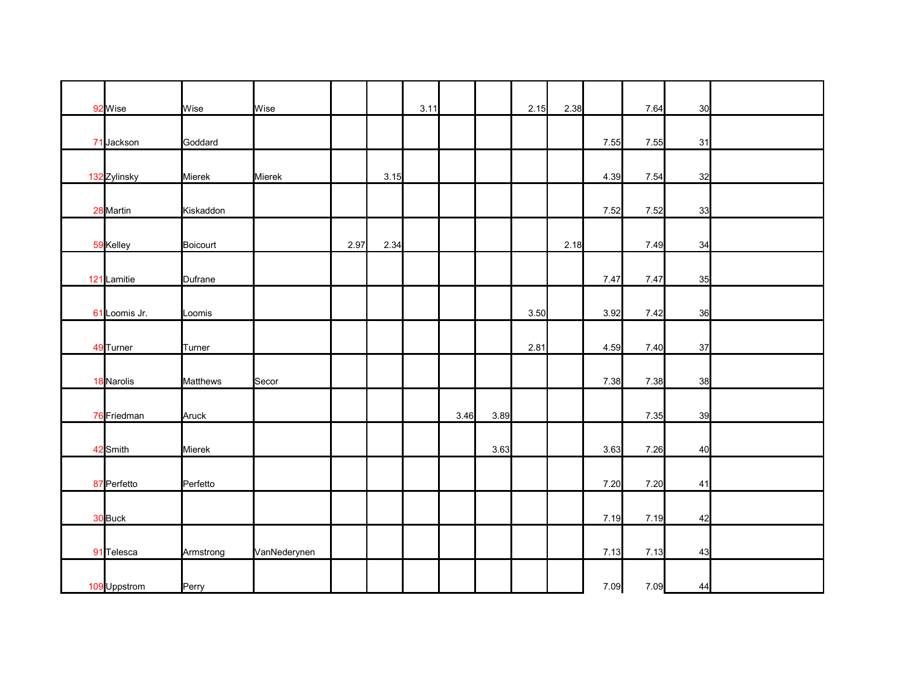| 92 Wise       | Wise            | Wise         |      |      | 3.11 |      |      | 2.15 | 2.38 |      | 7.64 | 30 |  |
|---------------|-----------------|--------------|------|------|------|------|------|------|------|------|------|----|--|
|               |                 |              |      |      |      |      |      |      |      |      |      |    |  |
| 71 Jackson    | Goddard         |              |      |      |      |      |      |      |      | 7.55 | 7.55 | 31 |  |
|               |                 |              |      |      |      |      |      |      |      |      |      |    |  |
| 132 Zylinsky  | Mierek          | Mierek       |      | 3.15 |      |      |      |      |      | 4.39 | 7.54 | 32 |  |
|               |                 |              |      |      |      |      |      |      |      |      |      |    |  |
| 28 Martin     | Kiskaddon       |              |      |      |      |      |      |      |      | 7.52 | 7.52 | 33 |  |
|               |                 |              | 2.97 | 2.34 |      |      |      |      | 2.18 |      | 7.49 | 34 |  |
| 59 Kelley     | Boicourt        |              |      |      |      |      |      |      |      |      |      |    |  |
| 121 Lamitie   | Dufrane         |              |      |      |      |      |      |      |      | 7.47 | 7.47 | 35 |  |
|               |                 |              |      |      |      |      |      |      |      |      |      |    |  |
| 61 Loomis Jr. | Loomis          |              |      |      |      |      |      | 3.50 |      | 3.92 | 7.42 | 36 |  |
|               |                 |              |      |      |      |      |      |      |      |      |      |    |  |
| 49 Turner     | Turner          |              |      |      |      |      |      | 2.81 |      | 4.59 | 7.40 | 37 |  |
|               |                 |              |      |      |      |      |      |      |      |      |      |    |  |
| 18 Narolis    | <b>Matthews</b> | Secor        |      |      |      |      |      |      |      | 7.38 | 7.38 | 38 |  |
|               |                 |              |      |      |      |      |      |      |      |      |      |    |  |
| 76 Friedman   | Aruck           |              |      |      |      | 3.46 | 3.89 |      |      |      | 7.35 | 39 |  |
|               |                 |              |      |      |      |      |      |      |      |      |      |    |  |
| 42 Smith      | Mierek          |              |      |      |      |      | 3.63 |      |      | 3.63 | 7.26 | 40 |  |
| 87 Perfetto   | Perfetto        |              |      |      |      |      |      |      |      | 7.20 | 7.20 | 41 |  |
|               |                 |              |      |      |      |      |      |      |      |      |      |    |  |
| 30 Buck       |                 |              |      |      |      |      |      |      |      | 7.19 | 7.19 | 42 |  |
|               |                 |              |      |      |      |      |      |      |      |      |      |    |  |
| 91 Telesca    | Armstrong       | VanNederynen |      |      |      |      |      |      |      | 7.13 | 7.13 | 43 |  |
|               |                 |              |      |      |      |      |      |      |      |      |      |    |  |
| 109 Uppstrom  | Perry           |              |      |      |      |      |      |      |      | 7.09 | 7.09 | 44 |  |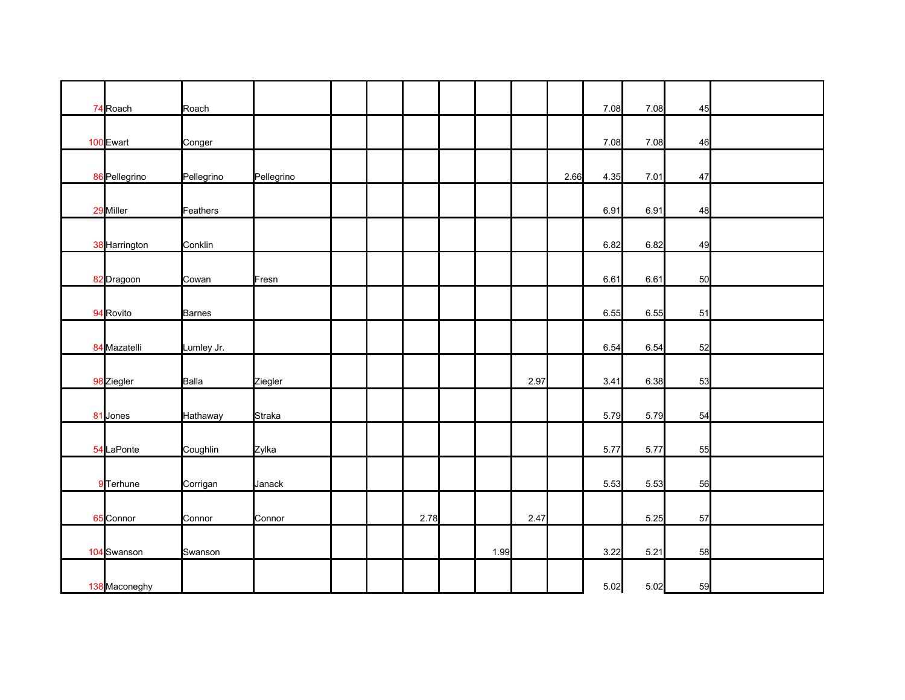| 74 Roach      | Roach      |            |  |      |      |      |      | 7.08 | 7.08   | 45 |  |
|---------------|------------|------------|--|------|------|------|------|------|--------|----|--|
| 100 Ewart     | Conger     |            |  |      |      |      |      | 7.08 | 7.08   | 46 |  |
|               |            |            |  |      |      |      |      |      |        |    |  |
| 86 Pellegrino | Pellegrino | Pellegrino |  |      |      |      | 2.66 | 4.35 | 7.01   | 47 |  |
| 29 Miller     | Feathers   |            |  |      |      |      |      | 6.91 | 6.91   | 48 |  |
| 38 Harrington | Conklin    |            |  |      |      |      |      | 6.82 | 6.82   | 49 |  |
| 82 Dragoon    | Cowan      | Fresn      |  |      |      |      |      | 6.61 | 6.61   | 50 |  |
| 94 Rovito     | Barnes     |            |  |      |      |      |      | 6.55 | 6.55   | 51 |  |
| 84 Mazatelli  | Lumley Jr. |            |  |      |      |      |      | 6.54 | 6.54   | 52 |  |
| 98 Ziegler    | Balla      | Ziegler    |  |      |      | 2.97 |      | 3.41 | 6.38   | 53 |  |
| 81 Jones      | Hathaway   | Straka     |  |      |      |      |      | 5.79 | 5.79   | 54 |  |
| 54 LaPonte    | Coughlin   | Zylka      |  |      |      |      |      | 5.77 | 5.77   | 55 |  |
| 9 Terhune     | Corrigan   | Janack     |  |      |      |      |      | 5.53 | 5.53   | 56 |  |
| 65 Connor     | Connor     | Connor     |  | 2.78 |      | 2.47 |      |      | 5.25   | 57 |  |
| 104 Swanson   | Swanson    |            |  |      | 1.99 |      |      | 3.22 | $5.21$ | 58 |  |
| 138 Maconeghy |            |            |  |      |      |      |      | 5.02 | 5.02   | 59 |  |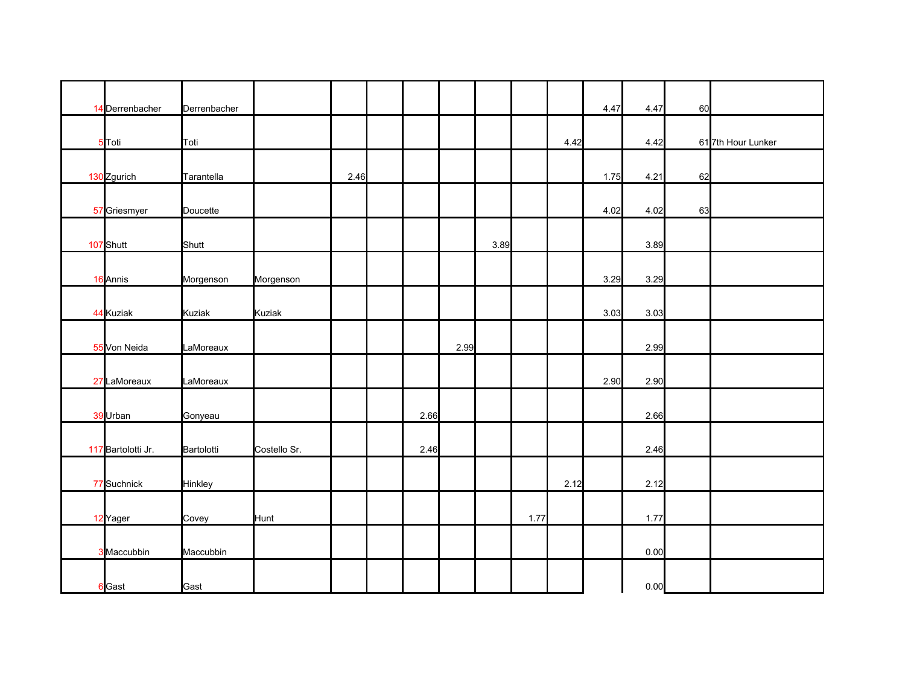| 14 Derrenbacher    | Derrenbacher |              |      |      |      |      |      |      | 4.47 | 4.47 | 60 |                    |
|--------------------|--------------|--------------|------|------|------|------|------|------|------|------|----|--------------------|
| 5 Toti             | Toti         |              |      |      |      |      |      | 4.42 |      | 4.42 |    | 61 7th Hour Lunker |
| 130 Zgurich        | Tarantella   |              | 2.46 |      |      |      |      |      | 1.75 | 4.21 | 62 |                    |
| 57 Griesmyer       | Doucette     |              |      |      |      |      |      |      | 4.02 | 4.02 | 63 |                    |
| 107 Shutt          | Shutt        |              |      |      |      | 3.89 |      |      |      | 3.89 |    |                    |
| 16 Annis           | Morgenson    | Morgenson    |      |      |      |      |      |      | 3.29 | 3.29 |    |                    |
| 44 Kuziak          | Kuziak       | Kuziak       |      |      |      |      |      |      | 3.03 | 3.03 |    |                    |
| 55 Von Neida       | LaMoreaux    |              |      |      | 2.99 |      |      |      |      | 2.99 |    |                    |
| 27 LaMoreaux       | LaMoreaux    |              |      |      |      |      |      |      | 2.90 | 2.90 |    |                    |
| 39 Urban           | Gonyeau      |              |      | 2.66 |      |      |      |      |      | 2.66 |    |                    |
| 117 Bartolotti Jr. | Bartolotti   | Costello Sr. |      | 2.46 |      |      |      |      |      | 2.46 |    |                    |
| 77 Suchnick        | Hinkley      |              |      |      |      |      |      | 2.12 |      | 2.12 |    |                    |
| 12 Yager           | Covey        | Hunt         |      |      |      |      | 1.77 |      |      | 1.77 |    |                    |
| 3 Maccubbin        | Maccubbin    |              |      |      |      |      |      |      |      | 0.00 |    |                    |
| 6 Gast             | Gast         |              |      |      |      |      |      |      |      | 0.00 |    |                    |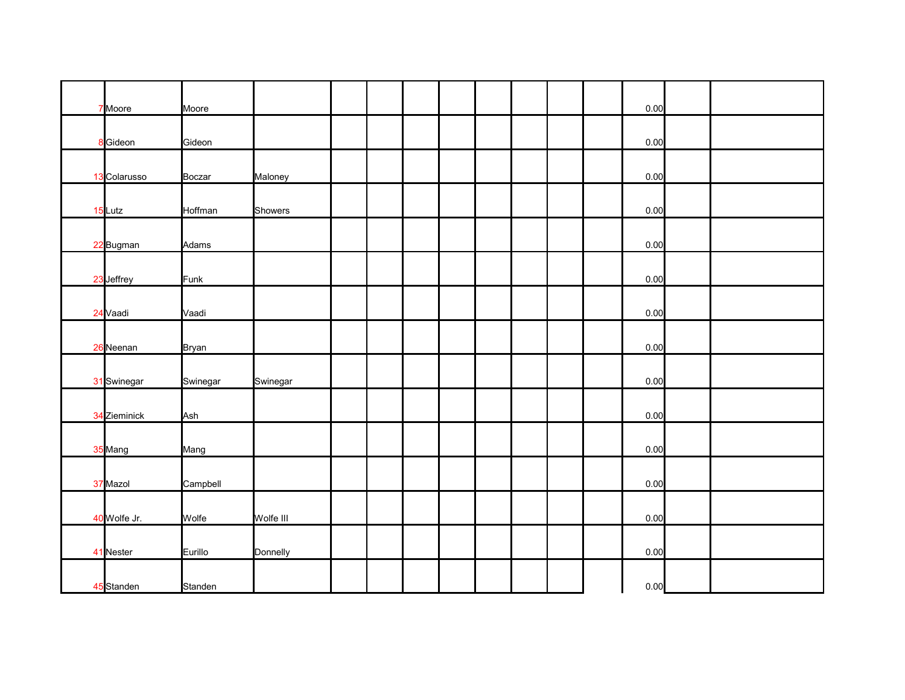| 7 Moore      | Moore         |           |  |  |  |  | 0.00 |  |
|--------------|---------------|-----------|--|--|--|--|------|--|
|              |               |           |  |  |  |  |      |  |
| 8 Gideon     | Gideon        |           |  |  |  |  | 0.00 |  |
|              |               |           |  |  |  |  |      |  |
| 13 Colarusso | <b>Boczar</b> | Maloney   |  |  |  |  | 0.00 |  |
| 15 Lutz      | Hoffman       | Showers   |  |  |  |  | 0.00 |  |
|              |               |           |  |  |  |  |      |  |
| 22 Bugman    | Adams         |           |  |  |  |  | 0.00 |  |
|              |               |           |  |  |  |  |      |  |
| 23 Jeffrey   | Funk          |           |  |  |  |  | 0.00 |  |
|              |               |           |  |  |  |  |      |  |
| 24 Vaadi     | Vaadi         |           |  |  |  |  | 0.00 |  |
|              |               |           |  |  |  |  |      |  |
| 26 Neenan    | <b>Bryan</b>  |           |  |  |  |  | 0.00 |  |
|              |               |           |  |  |  |  |      |  |
| 31 Swinegar  | Swinegar      | Swinegar  |  |  |  |  | 0.00 |  |
|              |               |           |  |  |  |  |      |  |
| 34 Zieminick | Ash           |           |  |  |  |  | 0.00 |  |
|              |               |           |  |  |  |  |      |  |
| 35 Mang      | Mang          |           |  |  |  |  | 0.00 |  |
|              |               |           |  |  |  |  |      |  |
| 37 Mazol     | Campbell      |           |  |  |  |  | 0.00 |  |
| 40 Wolfe Jr. | Wolfe         | Wolfe III |  |  |  |  | 0.00 |  |
|              |               |           |  |  |  |  |      |  |
| 41 Nester    | Eurillo       | Donnelly  |  |  |  |  | 0.00 |  |
|              |               |           |  |  |  |  |      |  |
| 45 Standen   | Standen       |           |  |  |  |  | 0.00 |  |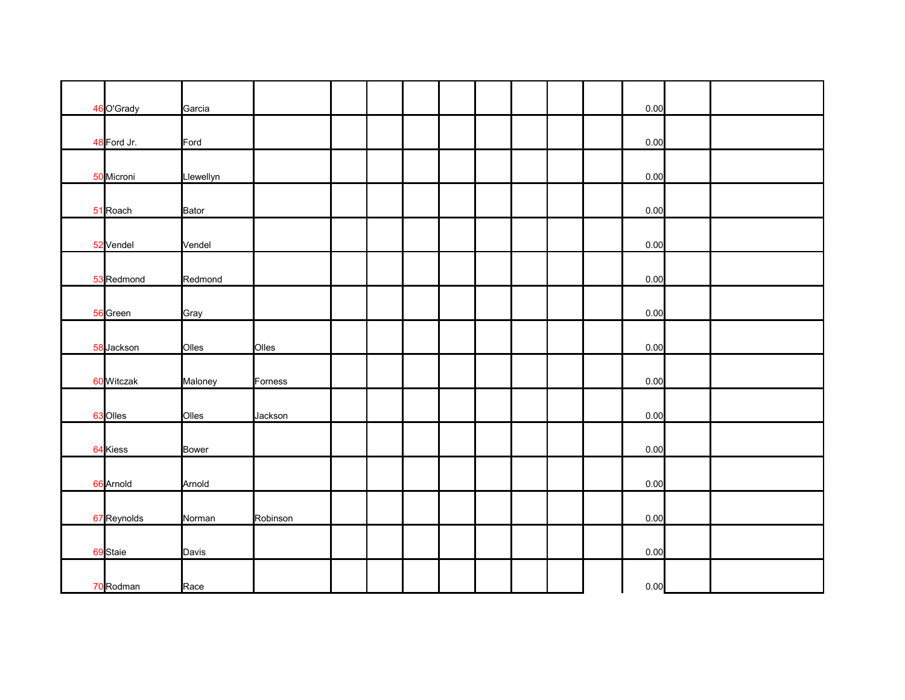| 46 O'Grady  | Garcia       |          |  |  |  |  | 0.00 |  |
|-------------|--------------|----------|--|--|--|--|------|--|
|             |              |          |  |  |  |  |      |  |
| 48 Ford Jr. | Ford         |          |  |  |  |  | 0.00 |  |
|             |              |          |  |  |  |  |      |  |
| 50 Microni  | Llewellyn    |          |  |  |  |  | 0.00 |  |
|             |              |          |  |  |  |  |      |  |
| 51 Roach    | Bator        |          |  |  |  |  | 0.00 |  |
|             |              |          |  |  |  |  |      |  |
| 52 Vendel   | Vendel       |          |  |  |  |  | 0.00 |  |
|             |              |          |  |  |  |  |      |  |
| 53 Redmond  | Redmond      |          |  |  |  |  | 0.00 |  |
|             |              |          |  |  |  |  |      |  |
| 56 Green    | Gray         |          |  |  |  |  | 0.00 |  |
|             |              |          |  |  |  |  |      |  |
| 58 Jackson  | Olles        | Olles    |  |  |  |  | 0.00 |  |
|             |              |          |  |  |  |  |      |  |
| 60 Witczak  | Maloney      | Forness  |  |  |  |  | 0.00 |  |
|             |              |          |  |  |  |  |      |  |
| 63 Olles    | Olles        | Jackson  |  |  |  |  | 0.00 |  |
|             |              |          |  |  |  |  |      |  |
|             |              |          |  |  |  |  |      |  |
| 64 Kiess    | <b>Bower</b> |          |  |  |  |  | 0.00 |  |
|             |              |          |  |  |  |  |      |  |
| 66 Arnold   | Arnold       |          |  |  |  |  | 0.00 |  |
|             |              |          |  |  |  |  |      |  |
| 67 Reynolds | Norman       | Robinson |  |  |  |  | 0.00 |  |
|             |              |          |  |  |  |  |      |  |
| 69 Staie    | Davis        |          |  |  |  |  | 0.00 |  |
|             |              |          |  |  |  |  |      |  |
| 70 Rodman   | Race         |          |  |  |  |  | 0.00 |  |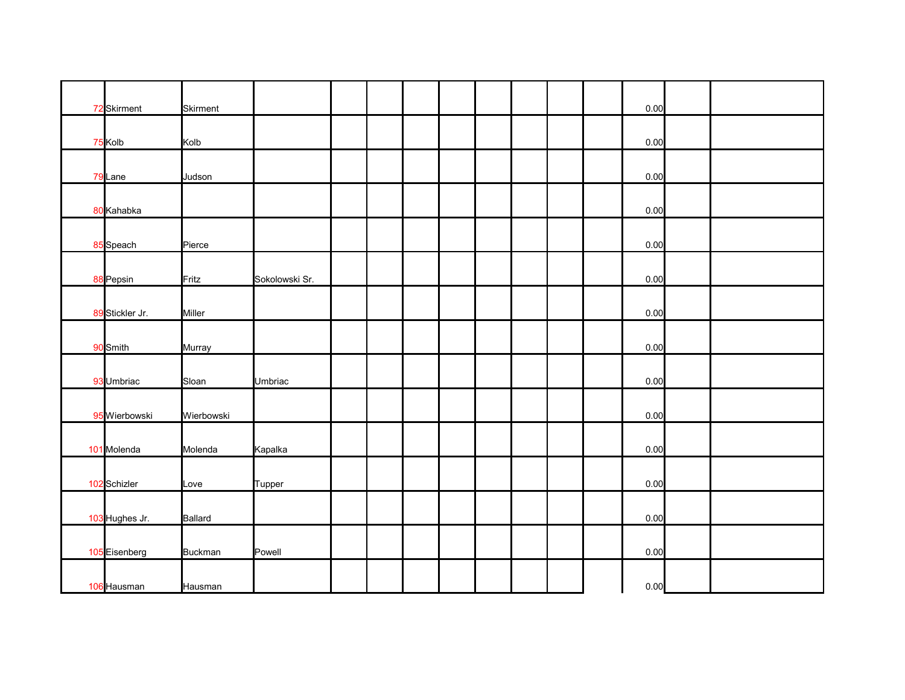| 72 Skirment     | <b>Skirment</b> |                |  |  |  |  | 0.00 |  |
|-----------------|-----------------|----------------|--|--|--|--|------|--|
|                 |                 |                |  |  |  |  |      |  |
| 75 Kolb         | Kolb            |                |  |  |  |  | 0.00 |  |
|                 |                 |                |  |  |  |  |      |  |
| 79 Lane         | Judson          |                |  |  |  |  | 0.00 |  |
| 80 Kahabka      |                 |                |  |  |  |  | 0.00 |  |
|                 |                 |                |  |  |  |  |      |  |
| 85 Speach       | Pierce          |                |  |  |  |  | 0.00 |  |
|                 |                 |                |  |  |  |  |      |  |
| 88 Pepsin       | Fritz           | Sokolowski Sr. |  |  |  |  | 0.00 |  |
|                 |                 |                |  |  |  |  |      |  |
| 89 Stickler Jr. | Miller          |                |  |  |  |  | 0.00 |  |
|                 |                 |                |  |  |  |  |      |  |
| 90 Smith        | Murray          |                |  |  |  |  | 0.00 |  |
|                 |                 |                |  |  |  |  |      |  |
| 93 Umbriac      | Sloan           | Umbriac        |  |  |  |  | 0.00 |  |
| 95 Wierbowski   | Wierbowski      |                |  |  |  |  | 0.00 |  |
|                 |                 |                |  |  |  |  |      |  |
| 101 Molenda     | Molenda         | Kapalka        |  |  |  |  | 0.00 |  |
|                 |                 |                |  |  |  |  |      |  |
| 102 Schizler    | Love            | Tupper         |  |  |  |  | 0.00 |  |
|                 |                 |                |  |  |  |  |      |  |
| 103 Hughes Jr.  | <b>Ballard</b>  |                |  |  |  |  | 0.00 |  |
|                 |                 |                |  |  |  |  |      |  |
| 105 Eisenberg   | Buckman         | Powell         |  |  |  |  | 0.00 |  |
|                 |                 |                |  |  |  |  |      |  |
| 106 Hausman     | Hausman         |                |  |  |  |  | 0.00 |  |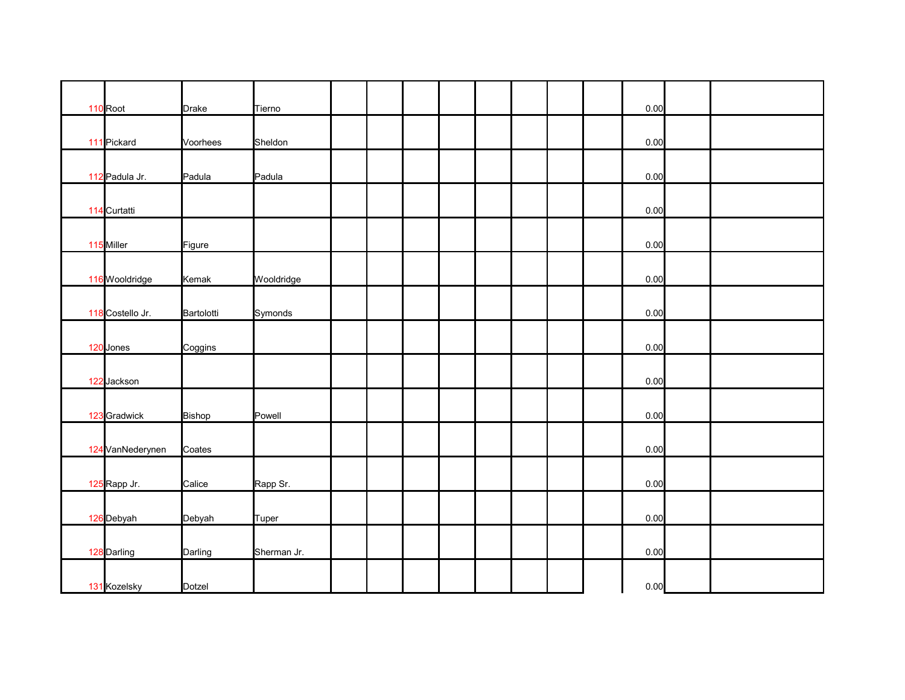| 110 Root         | <b>Drake</b> | Tierno      |  |  |  |  | 0.00 |  |
|------------------|--------------|-------------|--|--|--|--|------|--|
| 111 Pickard      | Voorhees     | Sheldon     |  |  |  |  | 0.00 |  |
|                  |              |             |  |  |  |  |      |  |
| 112 Padula Jr.   | Padula       | Padula      |  |  |  |  | 0.00 |  |
|                  |              |             |  |  |  |  |      |  |
| 114 Curtatti     |              |             |  |  |  |  | 0.00 |  |
|                  |              |             |  |  |  |  |      |  |
| 115 Miller       | Figure       |             |  |  |  |  | 0.00 |  |
|                  |              |             |  |  |  |  |      |  |
| 116 Wooldridge   | Kemak        | Wooldridge  |  |  |  |  | 0.00 |  |
| 118 Costello Jr. | Bartolotti   | Symonds     |  |  |  |  | 0.00 |  |
|                  |              |             |  |  |  |  |      |  |
| 120 Jones        | Coggins      |             |  |  |  |  | 0.00 |  |
|                  |              |             |  |  |  |  |      |  |
| 122 Jackson      |              |             |  |  |  |  | 0.00 |  |
|                  |              |             |  |  |  |  |      |  |
| 123 Gradwick     | Bishop       | Powell      |  |  |  |  | 0.00 |  |
|                  |              |             |  |  |  |  |      |  |
| 124 VanNederynen | Coates       |             |  |  |  |  | 0.00 |  |
| 125 Rapp Jr.     | Calice       | Rapp Sr.    |  |  |  |  | 0.00 |  |
|                  |              |             |  |  |  |  |      |  |
| 126 Debyah       | Debyah       | Tuper       |  |  |  |  | 0.00 |  |
|                  |              |             |  |  |  |  |      |  |
| 128 Darling      | Darling      | Sherman Jr. |  |  |  |  | 0.00 |  |
|                  |              |             |  |  |  |  |      |  |
| 131 Kozelsky     | Dotzel       |             |  |  |  |  | 0.00 |  |